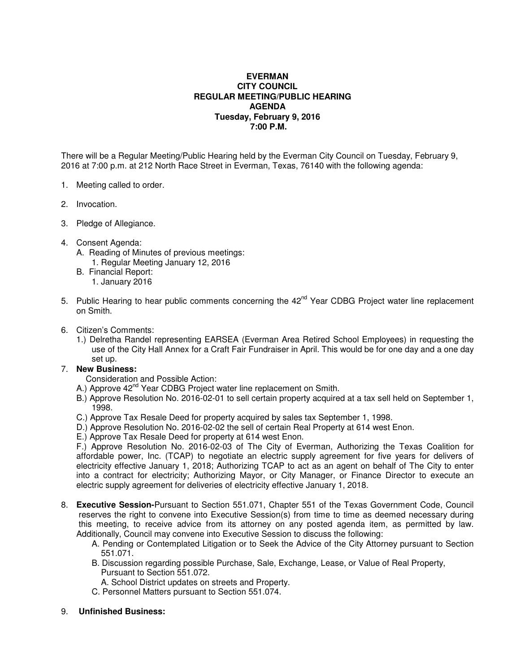## **EVERMAN CITY COUNCIL REGULAR MEETING/PUBLIC HEARING AGENDA Tuesday, February 9, 2016 7:00 P.M.**

There will be a Regular Meeting/Public Hearing held by the Everman City Council on Tuesday, February 9, 2016 at 7:00 p.m. at 212 North Race Street in Everman, Texas, 76140 with the following agenda:

- 1. Meeting called to order.
- 2. Invocation.
- 3. Pledge of Allegiance.
- 4. Consent Agenda:
	- A. Reading of Minutes of previous meetings:
		- 1. Regular Meeting January 12, 2016
	- B. Financial Report:
		- 1. January 2016
- 5. Public Hearing to hear public comments concerning the 42<sup>nd</sup> Year CDBG Project water line replacement on Smith.
- 6. Citizen's Comments:
	- 1.) Delretha Randel representing EARSEA (Everman Area Retired School Employees) in requesting the use of the City Hall Annex for a Craft Fair Fundraiser in April. This would be for one day and a one day set up.

## 7. **New Business:**

- Consideration and Possible Action:
- A.) Approve 42<sup>nd</sup> Year CDBG Project water line replacement on Smith.
- B.) Approve Resolution No. 2016-02-01 to sell certain property acquired at a tax sell held on September 1, 1998.
- C.) Approve Tax Resale Deed for property acquired by sales tax September 1, 1998.
- D.) Approve Resolution No. 2016-02-02 the sell of certain Real Property at 614 west Enon.
- E.) Approve Tax Resale Deed for property at 614 west Enon.

 F.) Approve Resolution No. 2016-02-03 of The City of Everman, Authorizing the Texas Coalition for affordable power, Inc. (TCAP) to negotiate an electric supply agreement for five years for delivers of electricity effective January 1, 2018; Authorizing TCAP to act as an agent on behalf of The City to enter into a contract for electricity; Authorizing Mayor, or City Manager, or Finance Director to execute an electric supply agreement for deliveries of electricity effective January 1, 2018.

- 8. **Executive Session-**Pursuant to Section 551.071, Chapter 551 of the Texas Government Code, Council reserves the right to convene into Executive Session(s) from time to time as deemed necessary during this meeting, to receive advice from its attorney on any posted agenda item, as permitted by law. Additionally, Council may convene into Executive Session to discuss the following:
	- A. Pending or Contemplated Litigation or to Seek the Advice of the City Attorney pursuant to Section 551.071.
	- B. Discussion regarding possible Purchase, Sale, Exchange, Lease, or Value of Real Property, Pursuant to Section 551.072.
	- A. School District updates on streets and Property.
	- C. Personnel Matters pursuant to Section 551.074.
- 9. **Unfinished Business:**